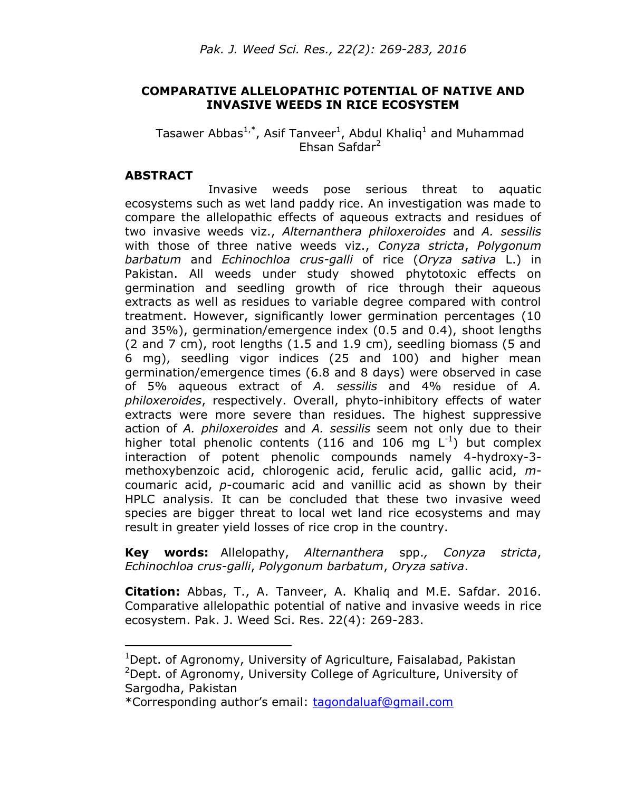# **COMPARATIVE ALLELOPATHIC POTENTIAL OF NATIVE AND INVASIVE WEEDS IN RICE ECOSYSTEM**

## Tasawer Abbas<sup>1,\*</sup>, Asif Tanveer<sup>1</sup>, Abdul Khaliq<sup>1</sup> and Muhammad Ehsan Safdar<sup>2</sup>

#### **ABSTRACT**

 $\overline{a}$ 

Invasive weeds pose serious threat to aquatic ecosystems such as wet land paddy rice. An investigation was made to compare the allelopathic effects of aqueous extracts and residues of two invasive weeds viz., *Alternanthera philoxeroides* and *A. sessilis*  with those of three native weeds viz., *Conyza stricta*, *Polygonum barbatum* and *Echinochloa crus-galli* of rice (*Oryza sativa* L.) in Pakistan. All weeds under study showed phytotoxic effects on germination and seedling growth of rice through their aqueous extracts as well as residues to variable degree compared with control treatment. However, significantly lower germination percentages (10 and 35%), germination/emergence index (0.5 and 0.4), shoot lengths (2 and 7 cm), root lengths (1.5 and 1.9 cm), seedling biomass (5 and 6 mg), seedling vigor indices (25 and 100) and higher mean germination/emergence times (6.8 and 8 days) were observed in case of 5% aqueous extract of *A. sessilis* and 4% residue of *A. philoxeroides*, respectively. Overall, phyto-inhibitory effects of water extracts were more severe than residues. The highest suppressive action of *A. philoxeroides* and *A. sessilis* seem not only due to their higher total phenolic contents (116 and 106 mg  $L^{-1}$ ) but complex interaction of potent phenolic compounds namely 4-hydroxy-3 methoxybenzoic acid, chlorogenic acid, ferulic acid, gallic acid, *m*coumaric acid, *p*-coumaric acid and vanillic acid as shown by their HPLC analysis. It can be concluded that these two invasive weed species are bigger threat to local wet land rice ecosystems and may result in greater yield losses of rice crop in the country.

**Key words:** Allelopathy, *Alternanthera* spp.*, Conyza stricta*, *Echinochloa crus-galli*, *Polygonum barbatum*, *Oryza sativa*.

**Citation:** Abbas, T., A. Tanveer, A. Khaliq and M.E. Safdar. 2016. Comparative allelopathic potential of native and invasive weeds in rice ecosystem. Pak. J. Weed Sci. Res. 22(4): 269-283.

<sup>&</sup>lt;sup>1</sup>Dept. of Agronomy, University of Agriculture, Faisalabad, Pakistan  $2$ Dept. of Agronomy, University College of Agriculture, University of Sargodha, Pakistan

<sup>\*</sup>Corresponding author's email: [tagondaluaf@gmail.com](mailto:tagondaluaf@gmail.com)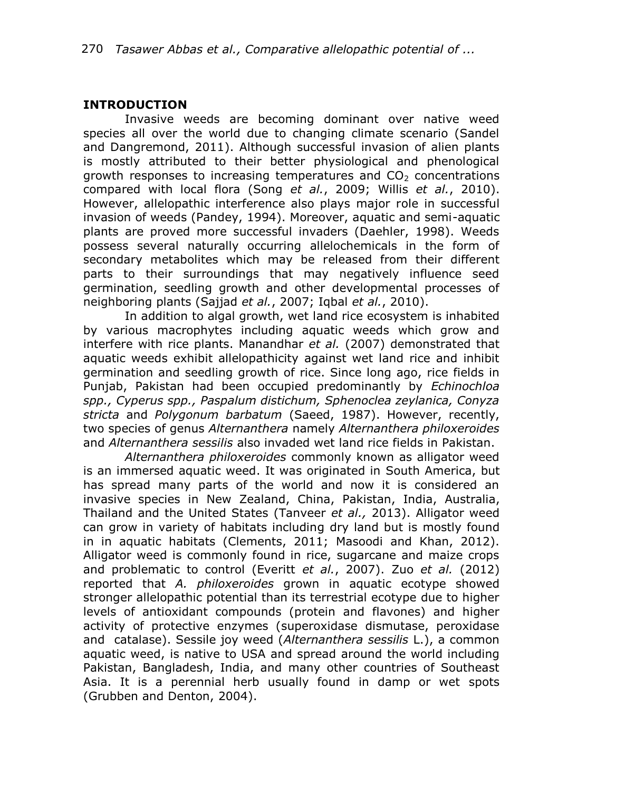## **INTRODUCTION**

Invasive weeds are becoming dominant over native weed species all over the world due to changing climate scenario (Sandel and Dangremond, 2011). Although successful invasion of alien plants is mostly attributed to their better physiological and phenological growth responses to increasing temperatures and  $CO<sub>2</sub>$  concentrations compared with local flora (Song *et al.*, 2009; Willis *et al.*, 2010). However, allelopathic interference also plays major role in successful invasion of weeds (Pandey, 1994). Moreover, aquatic and semi-aquatic plants are proved more successful invaders (Daehler, 1998). Weeds possess several naturally occurring allelochemicals in the form of secondary metabolites which may be released from their different parts to their surroundings that may negatively influence seed germination, seedling growth and other developmental processes of neighboring plants (Sajjad *et al.*, 2007; Iqbal *et al.*, 2010).

In addition to algal growth, wet land rice ecosystem is inhabited by various macrophytes including aquatic weeds which grow and interfere with rice plants. Manandhar *et al.* (2007) demonstrated that aquatic weeds exhibit allelopathicity against wet land rice and inhibit germination and seedling growth of rice. Since long ago, rice fields in Punjab, Pakistan had been occupied predominantly by *Echinochloa spp., Cyperus spp., Paspalum distichum, Sphenoclea zeylanica, Conyza stricta* and *Polygonum barbatum* (Saeed, 1987). However, recently, two species of genus *Alternanthera* namely *Alternanthera philoxeroides*  and *Alternanthera sessilis* also invaded wet land rice fields in Pakistan.

*Alternanthera philoxeroides* commonly known as alligator weed is an immersed aquatic weed. It was originated in South America, but has spread many parts of the world and now it is considered an invasive species in New Zealand, China, Pakistan, India, Australia, Thailand and the United States (Tanveer *et al.,* 2013). Alligator weed can grow in variety of habitats including dry land but is mostly found in in aquatic habitats (Clements, 2011; Masoodi and Khan, 2012). Alligator weed is commonly found in rice, sugarcane and maize crops and problematic to control (Everitt *et al.*, 2007). Zuo *et al.* (2012) reported that *A. philoxeroides* grown in aquatic ecotype showed stronger allelopathic potential than its terrestrial ecotype due to higher levels of antioxidant compounds (protein and flavones) and higher activity of protective enzymes (superoxidase dismutase, peroxidase and catalase). Sessile joy weed (*Alternanthera sessilis* L.), a common aquatic weed, is native to USA and spread around the world including Pakistan, Bangladesh, India, and many other countries of Southeast Asia. It is a perennial herb usually found in damp or wet spots (Grubben and Denton, 2004).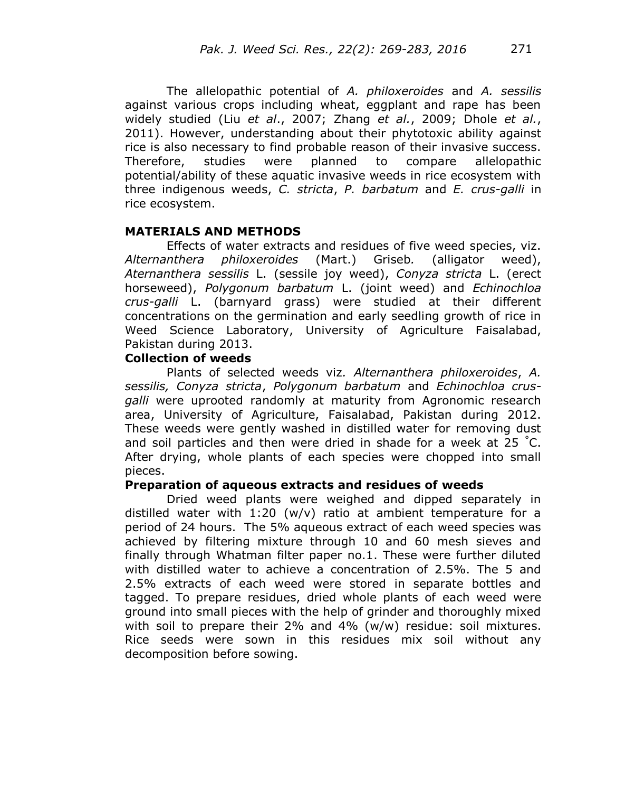The allelopathic potential of *A. philoxeroides* and *A. sessilis* against various crops including wheat, eggplant and rape has been widely studied (Liu *et al*., 2007; Zhang *et al.*, 2009; Dhole *et al.*, 2011). However, understanding about their phytotoxic ability against rice is also necessary to find probable reason of their invasive success. Therefore, studies were planned to compare allelopathic potential/ability of these aquatic invasive weeds in rice ecosystem with three indigenous weeds, *C. stricta*, *P. barbatum* and *E. crus-galli* in rice ecosystem.

### **MATERIALS AND METHODS**

Effects of water extracts and residues of five weed species, viz. *Alternanthera philoxeroides* (Mart.) Griseb*.* (alligator weed), *Aternanthera sessilis* L. (sessile joy weed), *Conyza stricta* L. (erect horseweed), *Polygonum barbatum* L. (joint weed) and *Echinochloa crus-galli* L. (barnyard grass) were studied at their different concentrations on the germination and early seedling growth of rice in Weed Science Laboratory, University of Agriculture Faisalabad, Pakistan during 2013.

#### **Collection of weeds**

Plants of selected weeds viz*. Alternanthera philoxeroides*, *A. sessilis, Conyza stricta*, *Polygonum barbatum* and *Echinochloa crusgalli* were uprooted randomly at maturity from Agronomic research area, University of Agriculture, Faisalabad, Pakistan during 2012. These weeds were gently washed in distilled water for removing dust and soil particles and then were dried in shade for a week at 25  $^{\circ}$ C. After drying, whole plants of each species were chopped into small pieces.

#### **Preparation of aqueous extracts and residues of weeds**

Dried weed plants were weighed and dipped separately in distilled water with  $1:20 \, (w/v)$  ratio at ambient temperature for a period of 24 hours. The 5% aqueous extract of each weed species was achieved by filtering mixture through 10 and 60 mesh sieves and finally through Whatman filter paper no.1. These were further diluted with distilled water to achieve a concentration of 2.5%. The 5 and 2.5% extracts of each weed were stored in separate bottles and tagged. To prepare residues, dried whole plants of each weed were ground into small pieces with the help of grinder and thoroughly mixed with soil to prepare their 2% and 4% (w/w) residue: soil mixtures. Rice seeds were sown in this residues mix soil without any decomposition before sowing.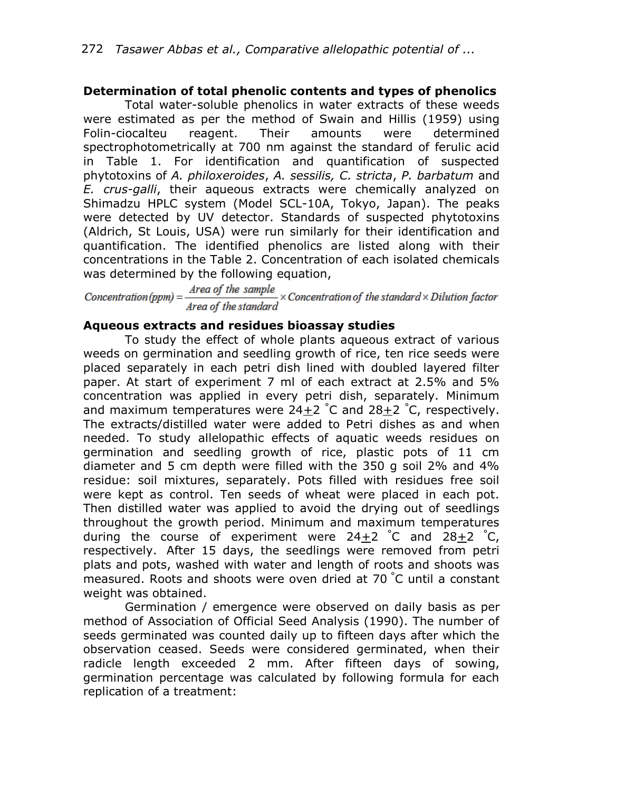## **Determination of total phenolic contents and types of phenolics**

Total water-soluble phenolics in water extracts of these weeds were estimated as per the method of Swain and Hillis (1959) using Folin-ciocalteu reagent. Their amounts were determined spectrophotometrically at 700 nm against the standard of ferulic acid in Table 1. For identification and quantification of suspected phytotoxins of *A. philoxeroides*, *A. sessilis, C. stricta*, *P. barbatum* and *E. crus-galli*, their aqueous extracts were chemically analyzed on Shimadzu HPLC system (Model SCL-10A, Tokyo, Japan). The peaks were detected by UV detector. Standards of suspected phytotoxins (Aldrich, St Louis, USA) were run similarly for their identification and quantification. The identified phenolics are listed along with their concentrations in the Table 2. Concentration of each isolated chemicals was determined by the following equation,

Concentration (ppm) =  $\frac{Area\ of\ the\ sample}{Area\ of\ the\ standard} \times$  Concentration of the standard  $\times$  Dilution factor

## **Aqueous extracts and residues bioassay studies**

To study the effect of whole plants aqueous extract of various weeds on germination and seedling growth of rice, ten rice seeds were placed separately in each petri dish lined with doubled layered filter paper. At start of experiment 7 ml of each extract at 2.5% and 5% concentration was applied in every petri dish, separately. Minimum and maximum temperatures were  $24+2$  °C and  $28+2$  °C, respectively. The extracts/distilled water were added to Petri dishes as and when needed. To study allelopathic effects of aquatic weeds residues on germination and seedling growth of rice, plastic pots of 11 cm diameter and 5 cm depth were filled with the 350 g soil 2% and 4% residue: soil mixtures, separately. Pots filled with residues free soil were kept as control. Ten seeds of wheat were placed in each pot. Then distilled water was applied to avoid the drying out of seedlings throughout the growth period. Minimum and maximum temperatures during the course of experiment were  $24+2$   $\degree$ C and  $28+2$   $\degree$ C, respectively. After 15 days, the seedlings were removed from petri plats and pots, washed with water and length of roots and shoots was measured. Roots and shoots were oven dried at 70 °C until a constant weight was obtained.

Germination / emergence were observed on daily basis as per method of Association of Official Seed Analysis (1990). The number of seeds germinated was counted daily up to fifteen days after which the observation ceased. Seeds were considered germinated, when their radicle length exceeded 2 mm. After fifteen days of sowing, germination percentage was calculated by following formula for each replication of a treatment: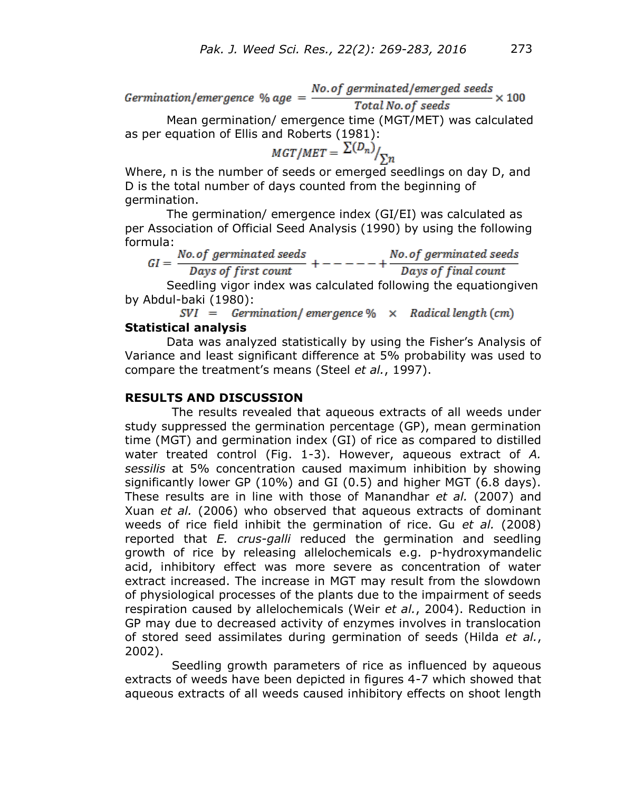No. of germinated/emerged seeds  $Germination/emeraence % aae =$  $\sim 100$ Total No. of seeds

Mean germination/ emergence time (MGT/MET) was calculated as per equation of Ellis and Roberts (1981):<br> $MGT/MET = \frac{\sum (D_n)}{\sum n}$ 

Where, n is the number of seeds or emerged seedlings on day D, and D is the total number of days counted from the beginning of germination.

The germination/ emergence index (GI/EI) was calculated as per Association of Official Seed Analysis (1990) by using the following formula:

|  | No.of germinated seeds | No.of germinated seeds |
|--|------------------------|------------------------|
|  | Days of first count    | Days of final count    |

Seedling vigor index was calculated following the equationgiven by Abdul-baki (1980):

 $SVI = Germanation/emergence % \times Radical length (cm)$ **Statistical analysis**

Data was analyzed statistically by using the Fisher's Analysis of Variance and least significant difference at 5% probability was used to compare the treatment's means (Steel *et al.*, 1997).

## **RESULTS AND DISCUSSION**

The results revealed that aqueous extracts of all weeds under study suppressed the germination percentage (GP), mean germination time (MGT) and germination index (GI) of rice as compared to distilled water treated control (Fig. 1-3). However, aqueous extract of *A. sessilis* at 5% concentration caused maximum inhibition by showing significantly lower GP (10%) and GI (0.5) and higher MGT (6.8 days). These results are in line with those of Manandhar *et al.* (2007) and Xuan *et al.* (2006) who observed that aqueous extracts of dominant weeds of rice field inhibit the germination of rice. Gu *et al.* (2008) reported that *E. crus-galli* reduced the germination and seedling growth of rice by releasing allelochemicals e.g. p-hydroxymandelic acid, inhibitory effect was more severe as concentration of water extract increased. The increase in MGT may result from the slowdown of physiological processes of the plants due to the impairment of seeds respiration caused by allelochemicals (Weir *et al.*, 2004). Reduction in GP may due to decreased activity of enzymes involves in translocation of stored seed assimilates during germination of seeds (Hilda *et al.*, 2002).

Seedling growth parameters of rice as influenced by aqueous extracts of weeds have been depicted in figures 4-7 which showed that aqueous extracts of all weeds caused inhibitory effects on shoot length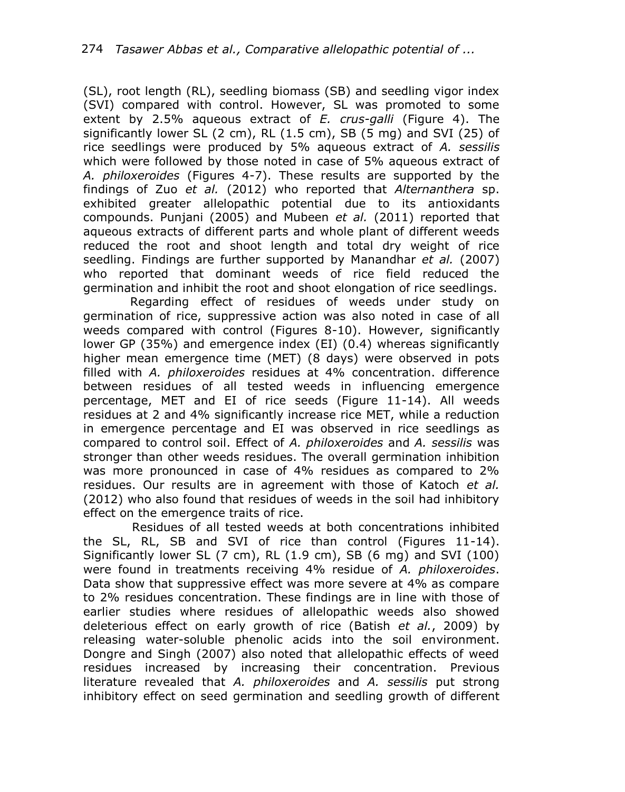(SL), root length (RL), seedling biomass (SB) and seedling vigor index (SVI) compared with control. However, SL was promoted to some extent by 2.5% aqueous extract of *E. crus-galli* (Figure 4). The significantly lower SL  $(2 \text{ cm})$ , RL  $(1.5 \text{ cm})$ , SB  $(5 \text{ mg})$  and SVI  $(25)$  of rice seedlings were produced by 5% aqueous extract of *A. sessilis* which were followed by those noted in case of 5% aqueous extract of *A. philoxeroides* (Figures 4-7). These results are supported by the findings of Zuo *et al.* (2012) who reported that *Alternanthera* sp. exhibited greater allelopathic potential due to its antioxidants compounds. Punjani (2005) and Mubeen *et al.* (2011) reported that aqueous extracts of different parts and whole plant of different weeds reduced the root and shoot length and total dry weight of rice seedling. Findings are further supported by Manandhar *et al.* (2007) who reported that dominant weeds of rice field reduced the germination and inhibit the root and shoot elongation of rice seedlings.

Regarding effect of residues of weeds under study on germination of rice, suppressive action was also noted in case of all weeds compared with control (Figures 8-10). However, significantly lower GP (35%) and emergence index (EI) (0.4) whereas significantly higher mean emergence time (MET) (8 days) were observed in pots filled with *A. philoxeroides* residues at 4% concentration. difference between residues of all tested weeds in influencing emergence percentage, MET and EI of rice seeds (Figure 11-14). All weeds residues at 2 and 4% significantly increase rice MET, while a reduction in emergence percentage and EI was observed in rice seedlings as compared to control soil. Effect of *A. philoxeroides* and *A. sessilis* was stronger than other weeds residues. The overall germination inhibition was more pronounced in case of 4% residues as compared to 2% residues. Our results are in agreement with those of Katoch *et al.* (2012) who also found that residues of weeds in the soil had inhibitory effect on the emergence traits of rice.

 Residues of all tested weeds at both concentrations inhibited the SL, RL, SB and SVI of rice than control (Figures 11-14). Significantly lower SL (7 cm), RL (1.9 cm), SB (6 mg) and SVI (100) were found in treatments receiving 4% residue of *A. philoxeroides*. Data show that suppressive effect was more severe at 4% as compare to 2% residues concentration. These findings are in line with those of earlier studies where residues of allelopathic weeds also showed deleterious effect on early growth of rice (Batish *et al.*, 2009) by releasing water-soluble phenolic acids into the soil environment. Dongre and Singh (2007) also noted that allelopathic effects of weed residues increased by increasing their concentration. Previous literature revealed that *A. philoxeroides* and *A. sessilis* put strong inhibitory effect on seed germination and seedling growth of different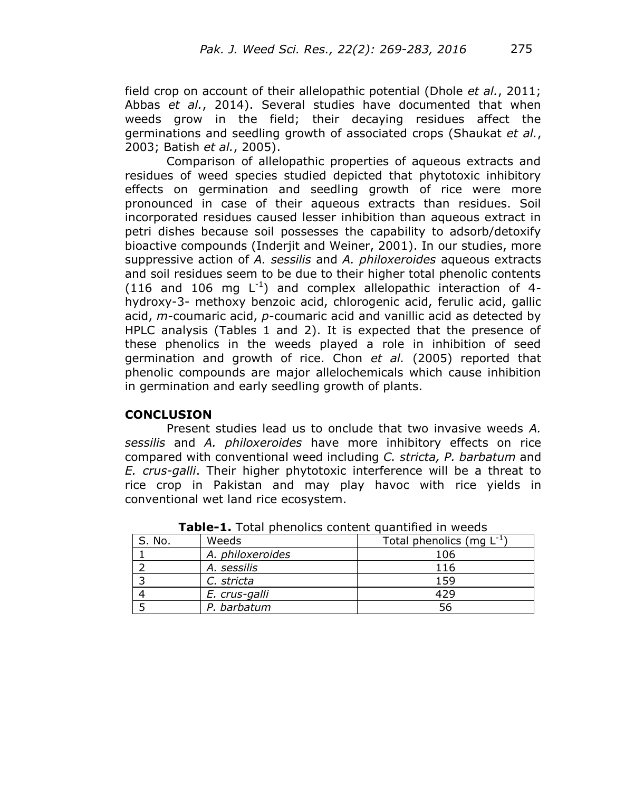field crop on account of their allelopathic potential (Dhole *et al.*, 2011; Abbas *et al.*, 2014). Several studies have documented that when weeds grow in the field; their decaying residues affect the germinations and seedling growth of associated crops (Shaukat *et al.*, 2003; Batish *et al.*, 2005).

Comparison of allelopathic properties of aqueous extracts and residues of weed species studied depicted that phytotoxic inhibitory effects on germination and seedling growth of rice were more pronounced in case of their aqueous extracts than residues. Soil incorporated residues caused lesser inhibition than aqueous extract in petri dishes because soil possesses the capability to adsorb/detoxify bioactive compounds (Inderjit and Weiner, 2001). In our studies, more suppressive action of *A. sessilis* and *A. philoxeroides* aqueous extracts and soil residues seem to be due to their higher total phenolic contents (116 and 106 mg  $L^{-1}$ ) and complex allelopathic interaction of 4hydroxy-3- methoxy benzoic acid, chlorogenic acid, ferulic acid, gallic acid, *m*-coumaric acid, *p*-coumaric acid and vanillic acid as detected by HPLC analysis (Tables 1 and 2). It is expected that the presence of these phenolics in the weeds played a role in inhibition of seed germination and growth of rice. Chon *et al.* (2005) reported that phenolic compounds are major allelochemicals which cause inhibition in germination and early seedling growth of plants.

## **CONCLUSION**

Present studies lead us to onclude that two invasive weeds *A. sessilis* and *A. philoxeroides* have more inhibitory effects on rice compared with conventional weed including *C. stricta, P. barbatum* and *E. crus-galli*. Their higher phytotoxic interference will be a threat to rice crop in Pakistan and may play havoc with rice yields in conventional wet land rice ecosystem.

| S. No. | Weeds            | Total phenolics (mg $L^{-1}$ ) |
|--------|------------------|--------------------------------|
|        | A. philoxeroides | 106                            |
|        | A. sessilis      | 116                            |
|        | C. stricta       | 159                            |
|        | E. crus-galli    | 429                            |
|        | P. barbatum      | 56                             |

**Table-1.** Total phenolics content quantified in weeds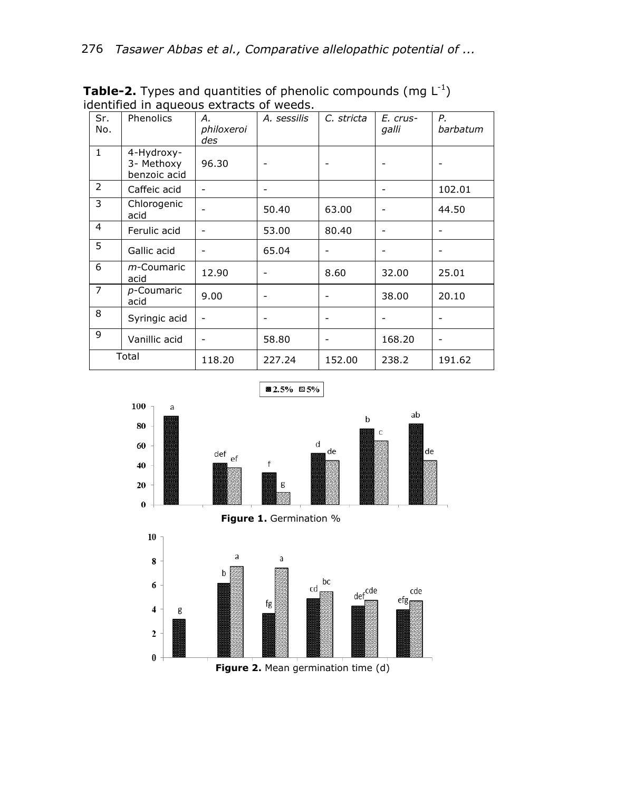| Sr.<br>No.     | Phenolics                                | А.<br>philoxeroi<br>des | A. sessilis | C. stricta                   | E. crus-<br>galli | Ρ.<br>barbatum |
|----------------|------------------------------------------|-------------------------|-------------|------------------------------|-------------------|----------------|
| $\mathbf{1}$   | 4-Hydroxy-<br>3- Methoxy<br>benzoic acid | 96.30                   |             |                              |                   |                |
| 2              | Caffeic acid                             |                         |             |                              | $\overline{a}$    | 102.01         |
| 3              | Chlorogenic<br>acid                      |                         | 50.40       | 63.00                        |                   | 44.50          |
| 4              | Ferulic acid                             |                         | 53.00       | 80.40                        | -                 |                |
| 5              | Gallic acid                              |                         | 65.04       | $\qquad \qquad \blacksquare$ | ۰                 |                |
| 6              | m-Coumaric<br>acid                       | 12.90                   |             | 8.60                         | 32.00             | 25.01          |
| $\overline{7}$ | p-Coumaric<br>acid                       | 9.00                    |             |                              | 38.00             | 20.10          |
| 8              | Syringic acid                            |                         |             |                              |                   |                |
| 9              | Vanillic acid                            |                         | 58.80       |                              | 168.20            |                |
| Total          |                                          | 118.20                  | 227.24      | 152.00                       | 238.2             | 191.62         |

**Table-2.** Types and quantities of phenolic compounds (mg  $L^{-1}$ ) identified in aqueous extracts of weeds.



■ 2.5% 図5%



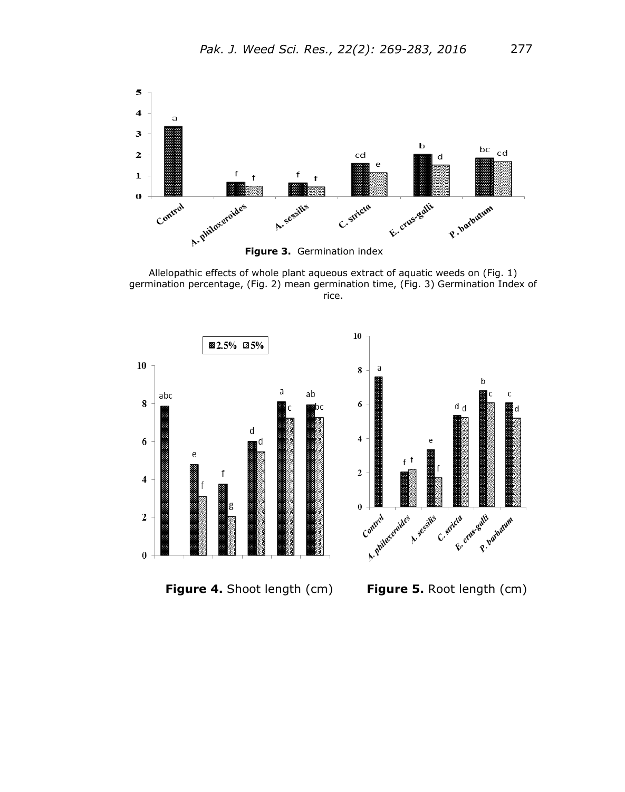

Allelopathic effects of whole plant aqueous extract of aquatic weeds on (Fig. 1) germination percentage, (Fig. 2) mean germination time, (Fig. 3) Germination Index of rice.

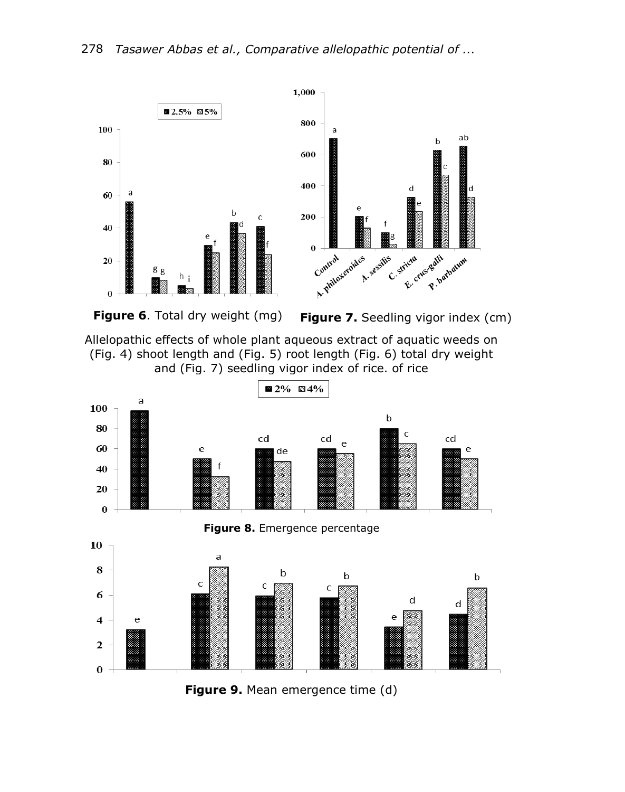



**Figure 6**. Total dry weight (mg) **Figure 7.** Seedling vigor index (cm)

Allelopathic effects of whole plant aqueous extract of aquatic weeds on (Fig. 4) shoot length and (Fig. 5) root length (Fig. 6) total dry weight and (Fig. 7) seedling vigor index of rice. of rice



**Figure 9.** Mean emergence time (d)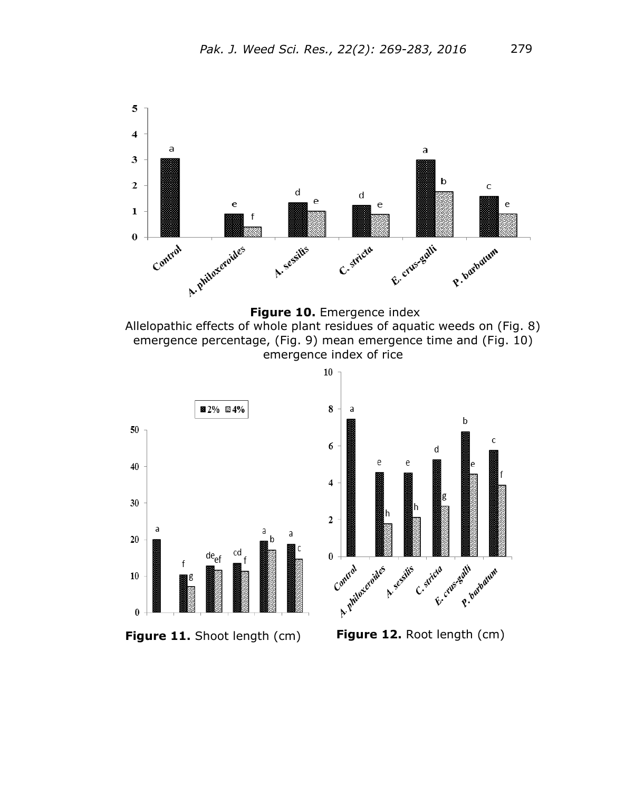



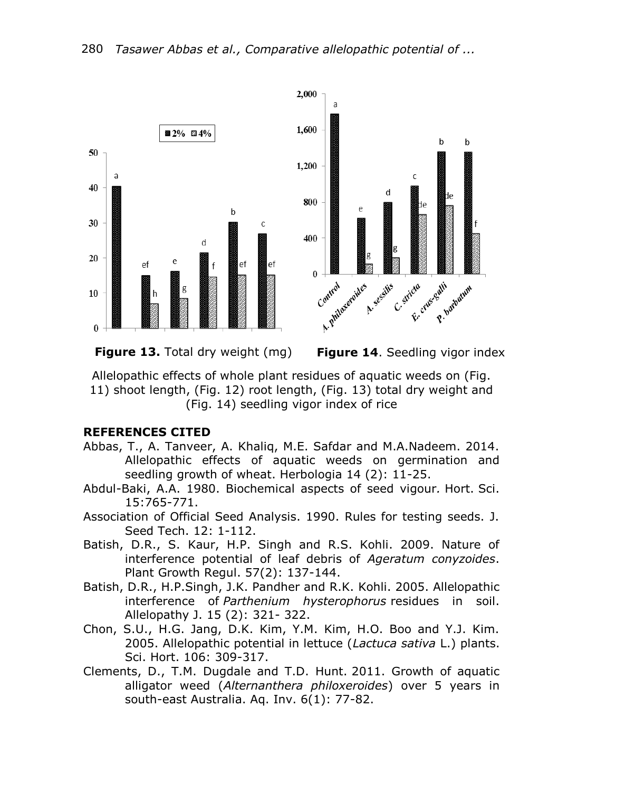

**Figure 13.** Total dry weight (mg) **Figure 14**. Seedling vigor index

Allelopathic effects of whole plant residues of aquatic weeds on (Fig. 11) shoot length, (Fig. 12) root length, (Fig. 13) total dry weight and (Fig. 14) seedling vigor index of rice

## **REFERENCES CITED**

- Abbas, T., A. Tanveer, A. Khaliq, M.E. Safdar and M.A.Nadeem. 2014. Allelopathic effects of aquatic weeds on germination and seedling growth of wheat. Herbologia 14 (2): 11-25.
- Abdul-Baki, A.A. 1980. Biochemical aspects of seed vigour*.* Hort. Sci. 15:765-771.
- Association of Official Seed Analysis. 1990. Rules for testing seeds. J. Seed Tech. 12: 1-112.
- Batish, D.R., S. Kaur, H.P. Singh and R.S. Kohli. 2009. Nature of interference potential of leaf debris of *Ageratum conyzoides*. Plant Growth Regul. 57(2): 137-144.
- Batish, D.R., H.P.Singh, J.K. Pandher and R.K. Kohli. 2005. Allelopathic interference of *Parthenium hysterophorus* residues in soil. Allelopathy J. 15 (2): 321- 322.
- Chon, S.U., H.G. Jang, D.K. Kim, Y.M. Kim, H.O. Boo and Y.J. Kim. 2005. Allelopathic potential in lettuce (*Lactuca sativa* L.) plants. Sci. Hort. 106: 309-317.
- Clements, D., T.M. Dugdale and T.D. Hunt. 2011. Growth of aquatic alligator weed (*Alternanthera philoxeroides*) over 5 years in south-east Australia. Aq. Inv. 6(1): 77-82.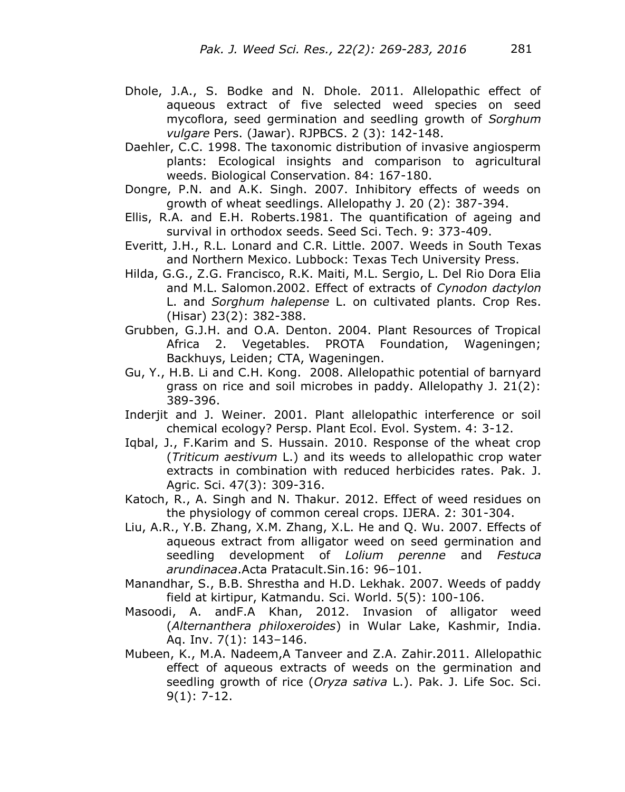- Dhole, J.A., S. Bodke and N. Dhole. 2011. Allelopathic effect of aqueous extract of five selected weed species on seed mycoflora, seed germination and seedling growth of *Sorghum vulgare* Pers. (Jawar). RJPBCS. 2 (3): 142-148.
- Daehler, C.C. 1998. The taxonomic distribution of invasive angiosperm plants: Ecological insights and comparison to agricultural weeds. Biological Conservation. 84: 167-180.
- Dongre, P.N. and A.K. Singh. 2007. Inhibitory effects of weeds on growth of wheat seedlings. Allelopathy J. 20 (2): 387-394.
- Ellis, R.A. and E.H. Roberts.1981. The quantification of ageing and survival in orthodox seeds. Seed Sci. Tech. 9: 373-409.
- Everitt, J.H., R.L. Lonard and C.R. Little. 2007. Weeds in South Texas and Northern Mexico. Lubbock: Texas Tech University Press.
- Hilda, G.G., Z.G. Francisco, R.K. Maiti, M.L. Sergio, L. Del Rio Dora Elia and M.L. Salomon.2002. Effect of extracts of *Cynodon dactylon*  L. and *Sorghum halepense* L. on cultivated plants. Crop Res. (Hisar) 23(2): 382-388.
- Grubben, G.J.H. and O.A. Denton. 2004. Plant Resources of Tropical Africa 2. Vegetables. PROTA Foundation, Wageningen; Backhuys, Leiden; CTA, Wageningen.
- Gu, Y., H.B. Li and C.H. Kong. 2008. Allelopathic potential of barnyard grass on rice and soil microbes in paddy. Allelopathy J. 21(2): 389-396.
- Inderjit and J. Weiner. 2001. Plant allelopathic interference or soil chemical ecology? Persp. Plant Ecol. Evol. System. 4: 3-12.
- Iqbal, J., F.Karim and S. Hussain. 2010. Response of the wheat crop (*Triticum aestivum* L.) and its weeds to allelopathic crop water extracts in combination with reduced herbicides rates. Pak. J. Agric. Sci. 47(3): 309-316.
- Katoch, R., A. Singh and N. Thakur. 2012. Effect of weed residues on the physiology of common cereal crops. IJERA. 2: 301-304.
- Liu, A.R., Y.B. Zhang, X.M. Zhang, X.L. He and Q. Wu. 2007. Effects of aqueous extract from alligator weed on seed germination and seedling development of *Lolium perenne* and *Festuca arundinacea*.Acta Pratacult.Sin.16: 96–101.
- Manandhar, S., B.B. Shrestha and H.D. Lekhak. 2007. Weeds of paddy field at kirtipur, Katmandu. Sci. World. 5(5): 100-106.
- Masoodi, A. andF.A Khan, 2012. Invasion of alligator weed (*Alternanthera philoxeroides*) in Wular Lake, Kashmir, India. Aq. Inv. 7(1): 143–146.
- Mubeen, K., M.A. Nadeem,A Tanveer and Z.A. Zahir.2011. Allelopathic effect of aqueous extracts of weeds on the germination and seedling growth of rice (*Oryza sativa* L.). Pak. J. Life Soc. Sci. 9(1): 7-12.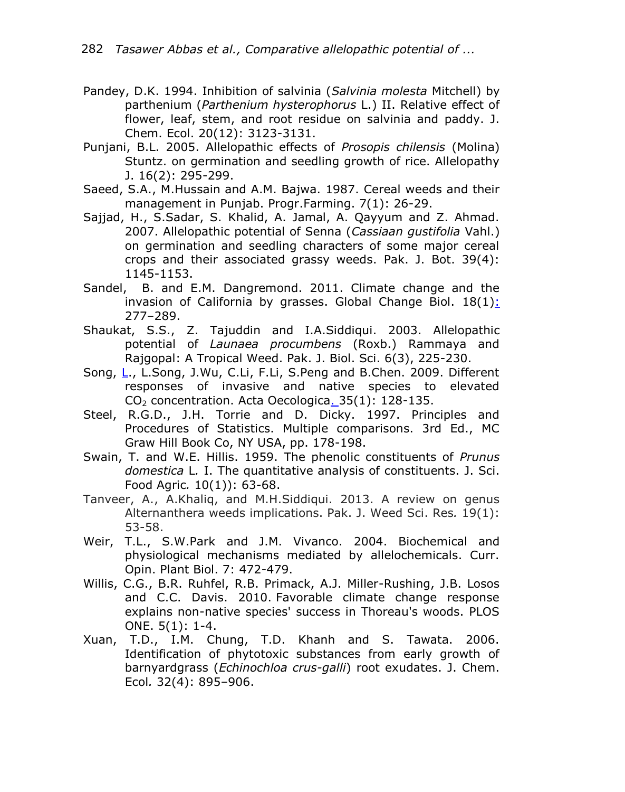- Pandey, D.K. 1994. Inhibition of salvinia (*Salvinia molesta* Mitchell) by parthenium (*Parthenium hysterophorus* L.) II. Relative effect of flower, leaf, stem, and root residue on salvinia and paddy. J. Chem. Ecol. 20(12): 3123-3131.
- Punjani, B.L. 2005. Allelopathic effects of *Prosopis chilensis* (Molina) Stuntz. on germination and seedling growth of rice. Allelopathy J. 16(2): 295-299.
- Saeed, S.A., M.Hussain and A.M. Bajwa. 1987. Cereal weeds and their management in Punjab. Progr.Farming. 7(1): 26-29.
- Sajjad, H., S.Sadar, S. Khalid, A. Jamal, A. Qayyum and Z. Ahmad. 2007. Allelopathic potential of Senna (*Cassiaan gustifolia* Vahl.) on germination and seedling characters of some major cereal crops and their associated grassy weeds. Pak. J. Bot. 39(4): 1145-1153.
- Sandel, B. and E.M. Dangremond. 2011. Climate change and the invasion of California by grasses. Global Change Biol.  $18(1)$ : 277–289.
- Shaukat, S.S., Z. Tajuddin and I.A.Siddiqui. 2003. Allelopathic potential of *Launaea procumbens* (Roxb.) Rammaya and Rajgopal: A Tropical Weed. Pak. J. Biol. Sci. 6(3), 225-230.
- Song, [L.](http://www.sciencedirect.com/science/article/pii/S1146609X08001392), L.Song, J.Wu, C.Li, F.Li, S.Peng and B.Chen. 2009. Different responses of invasive and native species to elevated  $CO<sub>2</sub>$  concentration. Acta Oecologica $.35(1)$ : 128-135.
- Steel, R.G.D., J.H. Torrie and D. Dicky. 1997. Principles and Procedures of Statistics. Multiple comparisons. 3rd Ed., MC Graw Hill Book Co, NY USA, pp. 178-198.
- Swain, T. and W.E. Hillis. 1959. The phenolic constituents of *Prunus domestica* L*.* I. The quantitative analysis of constituents. J. Sci. Food Agric*.* 10(1)): 63-68.
- Tanveer, A., A.Khaliq, and M.H.Siddiqui. 2013. A review on genus Alternanthera weeds implications. Pak. J. Weed Sci. Res*.* 19(1): 53-58.
- Weir, T.L., S.W.Park and J.M. Vivanco. 2004. Biochemical and physiological mechanisms mediated by allelochemicals. Curr. Opin. Plant Biol. 7: 472-479.
- Willis, C.G., B.R. Ruhfel, R.B. Primack, A.J. Miller-Rushing, J.B. Losos and C.C. Davis. 2010. Favorable climate change response explains non-native species' success in Thoreau's woods. PLOS ONE. 5(1): 1-4.
- Xuan, T.D., I.M. Chung, T.D. Khanh and S. Tawata. 2006. Identification of phytotoxic substances from early growth of barnyardgrass (*Echinochloa crus-galli*) root exudates. J. Chem. Ecol*.* 32(4): 895–906.